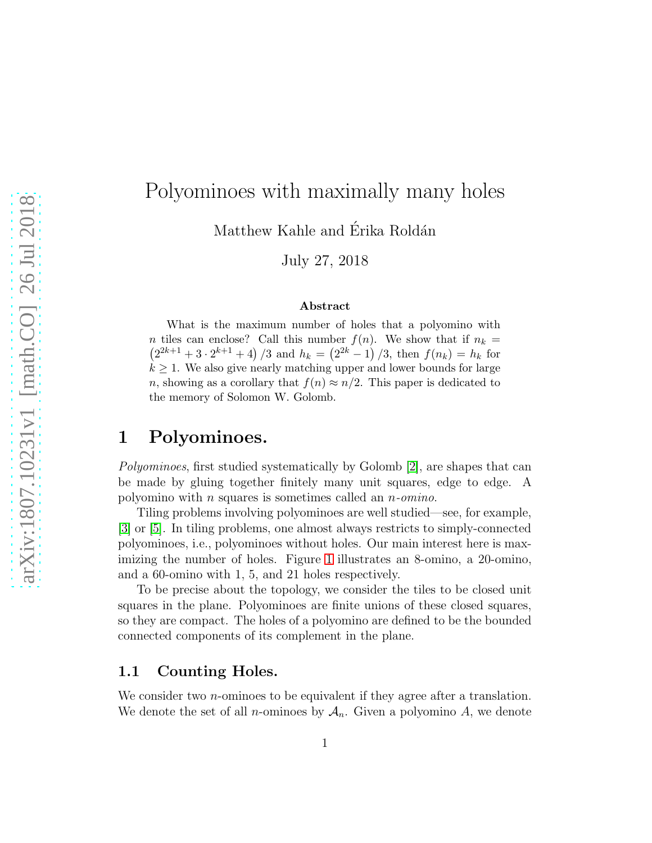# Polyominoes with maximally many holes

Matthew Kahle and Érika Roldán

July 27, 2018

#### Abstract

What is the maximum number of holes that a polyomino with n tiles can enclose? Call this number  $f(n)$ . We show that if  $n_k =$  $(2^{2k+1} + 3 \cdot 2^{k+1} + 4) / 3$  and  $h_k = (2^{2k} - 1) / 3$ , then  $f(n_k) = h_k$  for  $k \geq 1$ . We also give nearly matching upper and lower bounds for large n, showing as a corollary that  $f(n) \approx n/2$ . This paper is dedicated to the memory of Solomon W. Golomb.

## 1 Polyominoes.

Polyominoes, first studied systematically by Golomb [\[2\]](#page-14-0), are shapes that can be made by gluing together finitely many unit squares, edge to edge. A polyomino with n squares is sometimes called an n-omino.

Tiling problems involving polyominoes are well studied—see, for example, [\[3\]](#page-14-1) or [\[5\]](#page-14-2). In tiling problems, one almost always restricts to simply-connected polyominoes, i.e., polyominoes without holes. Our main interest here is maximizing the number of holes. Figure [1](#page-1-0) illustrates an 8-omino, a 20-omino, and a 60-omino with 1, 5, and 21 holes respectively.

To be precise about the topology, we consider the tiles to be closed unit squares in the plane. Polyominoes are finite unions of these closed squares, so they are compact. The holes of a polyomino are defined to be the bounded connected components of its complement in the plane.

#### 1.1 Counting Holes.

We consider two *n*-ominoes to be equivalent if they agree after a translation. We denote the set of all *n*-ominoes by  $A_n$ . Given a polyomino A, we denote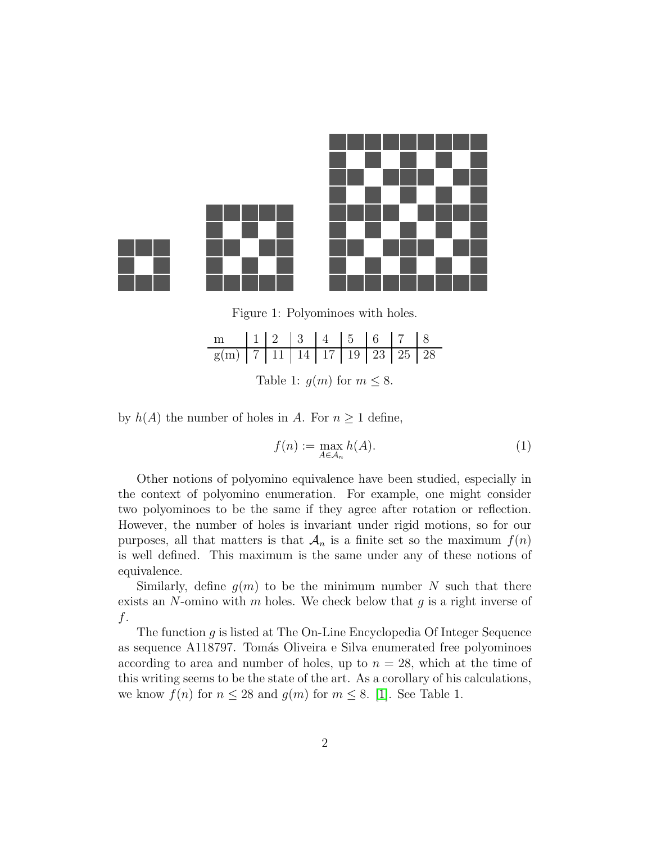

<span id="page-1-0"></span>Figure 1: Polyominoes with holes.

| Table 1: $g(m)$ for $m \leq 8$ . |  |  |  |  |  |  |  |  |
|----------------------------------|--|--|--|--|--|--|--|--|

by  $h(A)$  the number of holes in A. For  $n \geq 1$  define,

$$
f(n) := \max_{A \in \mathcal{A}_n} h(A).
$$
 (1)

Other notions of polyomino equivalence have been studied, especially in the context of polyomino enumeration. For example, one might consider two polyominoes to be the same if they agree after rotation or reflection. However, the number of holes is invariant under rigid motions, so for our purposes, all that matters is that  $\mathcal{A}_n$  is a finite set so the maximum  $f(n)$ is well defined. This maximum is the same under any of these notions of equivalence.

Similarly, define  $g(m)$  to be the minimum number N such that there exists an  $N$ -omino with  $m$  holes. We check below that  $g$  is a right inverse of f.

The function  $q$  is listed at The On-Line Encyclopedia Of Integer Sequence as sequence A118797. Tom´as Oliveira e Silva enumerated free polyominoes according to area and number of holes, up to  $n = 28$ , which at the time of this writing seems to be the state of the art. As a corollary of his calculations, we know  $f(n)$  for  $n \leq 28$  and  $g(m)$  for  $m \leq 8$ . [\[1\]](#page-14-3). See Table 1.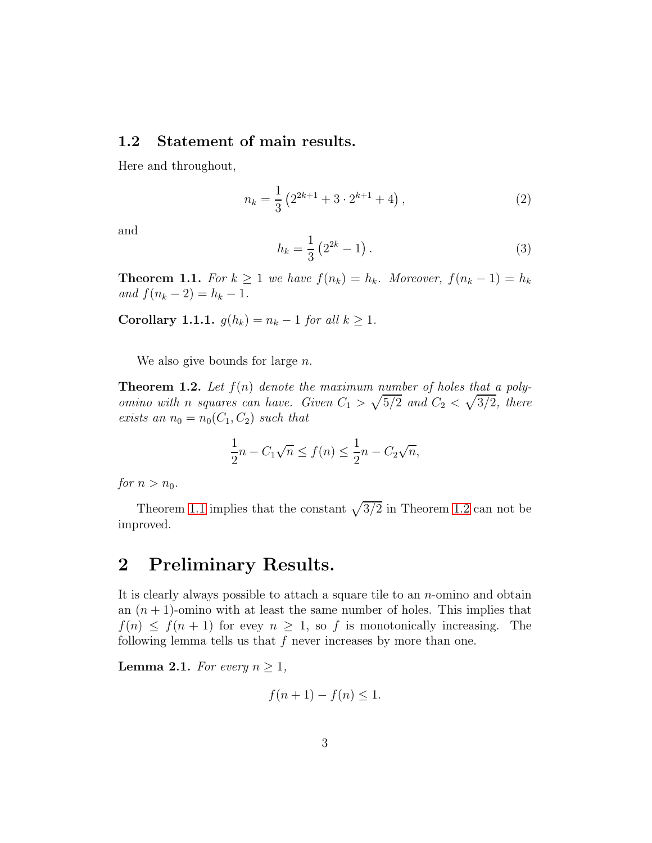#### 1.2 Statement of main results.

Here and throughout,

<span id="page-2-3"></span>
$$
n_k = \frac{1}{3} \left( 2^{2k+1} + 3 \cdot 2^{k+1} + 4 \right),\tag{2}
$$

and

<span id="page-2-4"></span>
$$
h_k = \frac{1}{3} \left( 2^{2k} - 1 \right). \tag{3}
$$

<span id="page-2-0"></span>**Theorem 1.1.** For  $k \geq 1$  we have  $f(n_k) = h_k$ . Moreover,  $f(n_k - 1) = h_k$ and  $f(n_k - 2) = h_k - 1$ .

Corollary 1.1.1.  $g(h_k) = n_k - 1$  for all  $k \geq 1$ .

We also give bounds for large  $n$ .

<span id="page-2-1"></span>**Theorem 1.2.** Let  $f(n)$  denote the maximum number of holes that a polyomino with n squares can have. Given  $C_1 > \sqrt{5/2}$  and  $C_2 < \sqrt{3/2}$ , there exists an  $n_0 = n_0(C_1, C_2)$  such that

$$
\frac{1}{2}n - C_1\sqrt{n} \le f(n) \le \frac{1}{2}n - C_2\sqrt{n},
$$

for  $n > n_0$ .

Theorem [1.1](#page-2-0) implies that the constant  $\sqrt{3/2}$  in Theorem [1.2](#page-2-1) can not be improved.

# 2 Preliminary Results.

It is clearly always possible to attach a square tile to an  $n$ -omino and obtain an  $(n + 1)$ -omino with at least the same number of holes. This implies that  $f(n) \leq f(n+1)$  for evey  $n \geq 1$ , so f is monotonically increasing. The following lemma tells us that  $f$  never increases by more than one.

<span id="page-2-2"></span>**Lemma 2.1.** For every  $n \geq 1$ ,

$$
f(n+1) - f(n) \le 1.
$$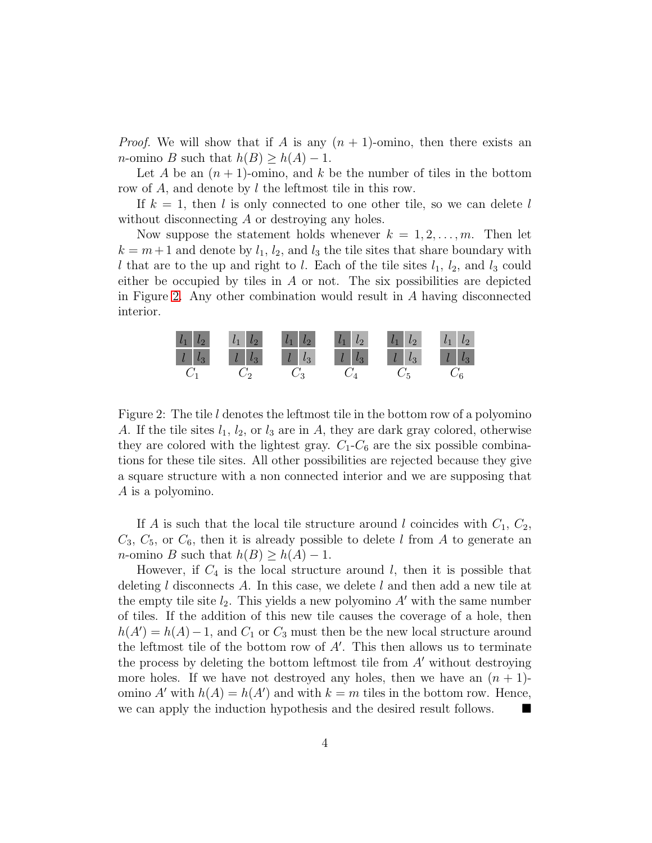*Proof.* We will show that if A is any  $(n + 1)$ -omino, then there exists an *n*-omino B such that  $h(B) \geq h(A) - 1$ .

Let A be an  $(n + 1)$ -omino, and k be the number of tiles in the bottom row of A, and denote by l the leftmost tile in this row.

If  $k = 1$ , then l is only connected to one other tile, so we can delete l without disconnecting A or destroying any holes.

Now suppose the statement holds whenever  $k = 1, 2, \ldots, m$ . Then let  $k = m + 1$  and denote by  $l_1, l_2,$  and  $l_3$  the tile sites that share boundary with l that are to the up and right to l. Each of the tile sites  $l_1$ ,  $l_2$ , and  $l_3$  could either be occupied by tiles in  $A$  or not. The six possibilities are depicted in Figure [2.](#page-3-0) Any other combination would result in A having disconnected interior.



<span id="page-3-0"></span>Figure 2: The tile l denotes the leftmost tile in the bottom row of a polyomino A. If the tile sites  $l_1$ ,  $l_2$ , or  $l_3$  are in A, they are dark gray colored, otherwise they are colored with the lightest gray.  $C_1$ - $C_6$  are the six possible combinations for these tile sites. All other possibilities are rejected because they give a square structure with a non connected interior and we are supposing that A is a polyomino.

If A is such that the local tile structure around l coincides with  $C_1$ ,  $C_2$ ,  $C_3, C_5$ , or  $C_6$ , then it is already possible to delete l from A to generate an *n*-omino *B* such that  $h(B) \geq h(A) - 1$ .

However, if  $C_4$  is the local structure around l, then it is possible that deleting l disconnects A. In this case, we delete l and then add a new tile at the empty tile site  $l_2$ . This yields a new polyomino  $A'$  with the same number of tiles. If the addition of this new tile causes the coverage of a hole, then  $h(A') = h(A) - 1$ , and  $C_1$  or  $C_3$  must then be the new local structure around the leftmost tile of the bottom row of  $A'$ . This then allows us to terminate the process by deleting the bottom leftmost tile from  $A'$  without destroying more holes. If we have not destroyed any holes, then we have an  $(n + 1)$ omino A' with  $h(A) = h(A')$  and with  $k = m$  tiles in the bottom row. Hence, we can apply the induction hypothesis and the desired result follows.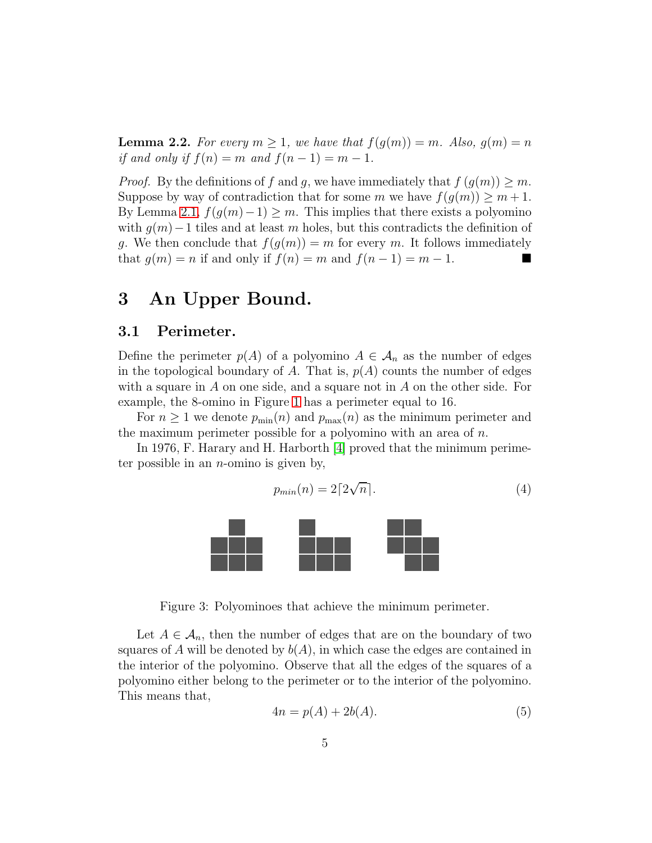**Lemma 2.2.** For every  $m \geq 1$ , we have that  $f(g(m)) = m$ . Also,  $g(m) = n$ if and only if  $f(n) = m$  and  $f(n - 1) = m - 1$ .

*Proof.* By the definitions of f and q, we have immediately that  $f(q(m)) \geq m$ . Suppose by way of contradiction that for some m we have  $f(g(m)) \geq m+1$ . By Lemma [2.1,](#page-2-2)  $f(g(m)-1) \geq m$ . This implies that there exists a polyomino with  $g(m)$  – 1 tiles and at least m holes, but this contradicts the definition of g. We then conclude that  $f(g(m)) = m$  for every m. It follows immediately that  $g(m) = n$  if and only if  $f(n) = m$  and  $f(n-1) = m-1$ .

# 3 An Upper Bound.

#### 3.1 Perimeter.

Define the perimeter  $p(A)$  of a polyomino  $A \in \mathcal{A}_n$  as the number of edges in the topological boundary of A. That is,  $p(A)$  counts the number of edges with a square in  $A$  on one side, and a square not in  $A$  on the other side. For example, the 8-omino in Figure [1](#page-1-0) has a perimeter equal to 16.

For  $n \geq 1$  we denote  $p_{\min}(n)$  and  $p_{\max}(n)$  as the minimum perimeter and the maximum perimeter possible for a polyomino with an area of  $n$ .

In 1976, F. Harary and H. Harborth [\[4\]](#page-14-4) proved that the minimum perimeter possible in an  $n$ -omino is given by,

<span id="page-4-1"></span>
$$
p_{min}(n) = 2\lceil 2\sqrt{n} \rceil. \tag{4}
$$



Figure 3: Polyominoes that achieve the minimum perimeter.

Let  $A \in \mathcal{A}_n$ , then the number of edges that are on the boundary of two squares of A will be denoted by  $b(A)$ , in which case the edges are contained in the interior of the polyomino. Observe that all the edges of the squares of a polyomino either belong to the perimeter or to the interior of the polyomino. This means that,

<span id="page-4-0"></span>
$$
4n = p(A) + 2b(A). \tag{5}
$$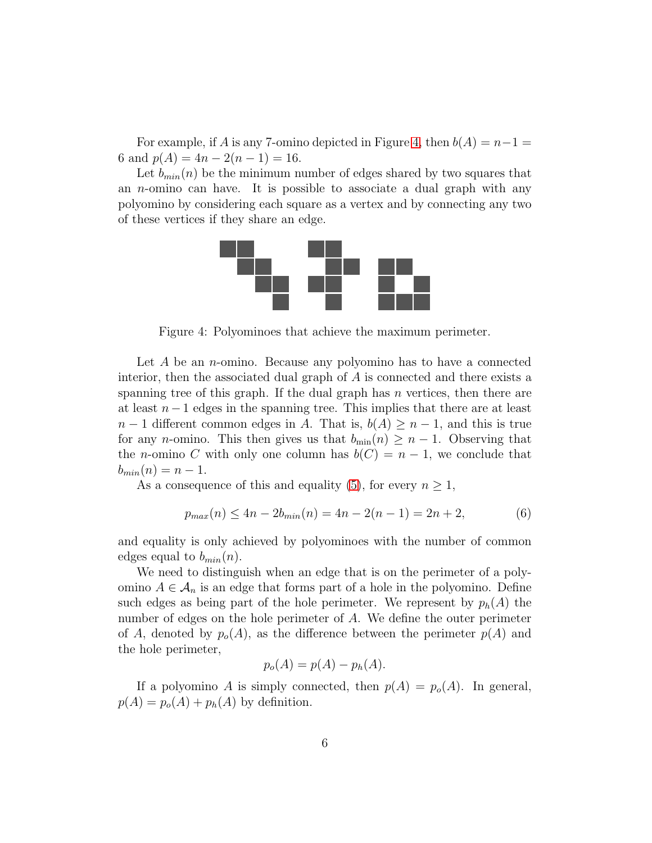For example, if A is any 7-omino depicted in Figure [4,](#page-5-0) then  $b(A) = n-1 =$ 6 and  $p(A) = 4n - 2(n - 1) = 16$ .

Let  $b_{min}(n)$  be the minimum number of edges shared by two squares that an n-omino can have. It is possible to associate a dual graph with any polyomino by considering each square as a vertex and by connecting any two of these vertices if they share an edge.



<span id="page-5-0"></span>Figure 4: Polyominoes that achieve the maximum perimeter.

Let  $A$  be an *n*-omino. Because any polyomino has to have a connected interior, then the associated dual graph of A is connected and there exists a spanning tree of this graph. If the dual graph has  $n$  vertices, then there are at least  $n-1$  edges in the spanning tree. This implies that there are at least  $n-1$  different common edges in A. That is,  $b(A) \geq n-1$ , and this is true for any *n*-omino. This then gives us that  $b_{\min}(n) \geq n-1$ . Observing that the *n*-omino C with only one column has  $b(C) = n - 1$ , we conclude that  $b_{min}(n) = n - 1.$ 

As a consequence of this and equality [\(5\)](#page-4-0), for every  $n \geq 1$ ,

$$
p_{max}(n) \le 4n - 2b_{min}(n) = 4n - 2(n - 1) = 2n + 2,\tag{6}
$$

and equality is only achieved by polyominoes with the number of common edges equal to  $b_{min}(n)$ .

We need to distinguish when an edge that is on the perimeter of a polyomino  $A \in \mathcal{A}_n$  is an edge that forms part of a hole in the polyomino. Define such edges as being part of the hole perimeter. We represent by  $p_h(A)$  the number of edges on the hole perimeter of A. We define the outer perimeter of A, denoted by  $p_o(A)$ , as the difference between the perimeter  $p(A)$  and the hole perimeter,

$$
p_o(A) = p(A) - p_h(A).
$$

If a polyomino A is simply connected, then  $p(A) = p<sub>o</sub>(A)$ . In general,  $p(A) = p_o(A) + p_h(A)$  by definition.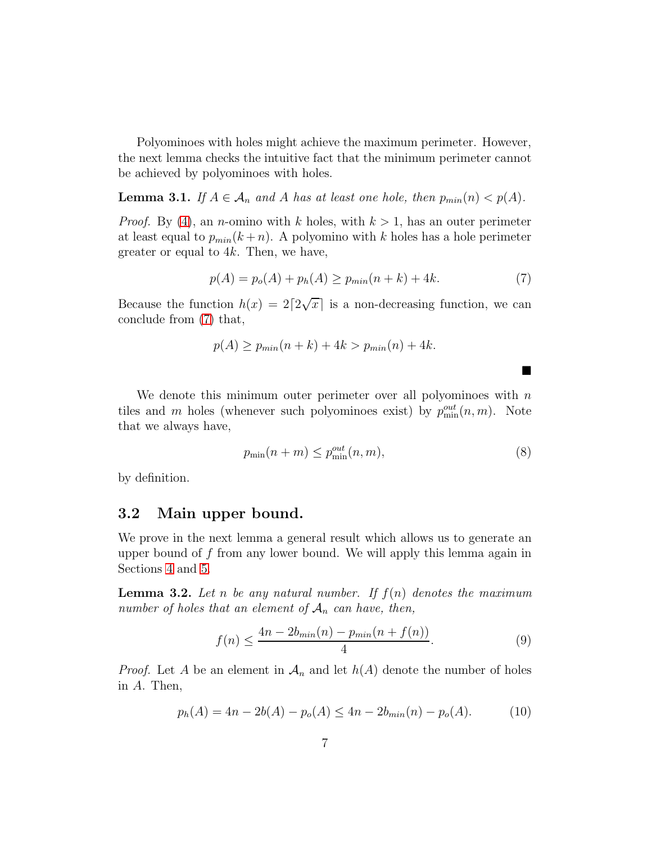Polyominoes with holes might achieve the maximum perimeter. However, the next lemma checks the intuitive fact that the minimum perimeter cannot be achieved by polyominoes with holes.

**Lemma 3.1.** If  $A \in \mathcal{A}_n$  and A has at least one hole, then  $p_{min}(n) < p(A)$ .

*Proof.* By [\(4\)](#page-4-1), an *n*-omino with k holes, with  $k > 1$ , has an outer perimeter at least equal to  $p_{min}(k+n)$ . A polyomino with k holes has a hole perimeter greater or equal to  $4k$ . Then, we have,

<span id="page-6-0"></span>
$$
p(A) = p_o(A) + p_h(A) \ge p_{min}(n+k) + 4k.
$$
 (7)

Because the function  $h(x) = 2\lceil 2\sqrt{x} \rceil$  is a non-decreasing function, we can conclude from [\(7\)](#page-6-0) that,

$$
p(A) \ge p_{min}(n+k) + 4k > p_{min}(n) + 4k.
$$

We denote this minimum outer perimeter over all polyominoes with  $n$ tiles and m holes (whenever such polyominoes exist) by  $p_{\min}^{out}(n,m)$ . Note that we always have,

<span id="page-6-1"></span>
$$
p_{\min}(n+m) \le p_{\min}^{out}(n,m),\tag{8}
$$

■

by definition.

#### 3.2 Main upper bound.

We prove in the next lemma a general result which allows us to generate an upper bound of  $f$  from any lower bound. We will apply this lemma again in Sections [4](#page-7-0) and [5.](#page-10-0)

<span id="page-6-4"></span>**Lemma 3.2.** Let n be any natural number. If  $f(n)$  denotes the maximum number of holes that an element of  $A_n$  can have, then,

<span id="page-6-3"></span>
$$
f(n) \le \frac{4n - 2b_{\min}(n) - p_{\min}(n + f(n))}{4}.
$$
\n(9)

*Proof.* Let A be an element in  $\mathcal{A}_n$  and let  $h(A)$  denote the number of holes in A. Then,

<span id="page-6-2"></span>
$$
p_h(A) = 4n - 2b(A) - p_o(A) \le 4n - 2b_{min}(n) - p_o(A). \tag{10}
$$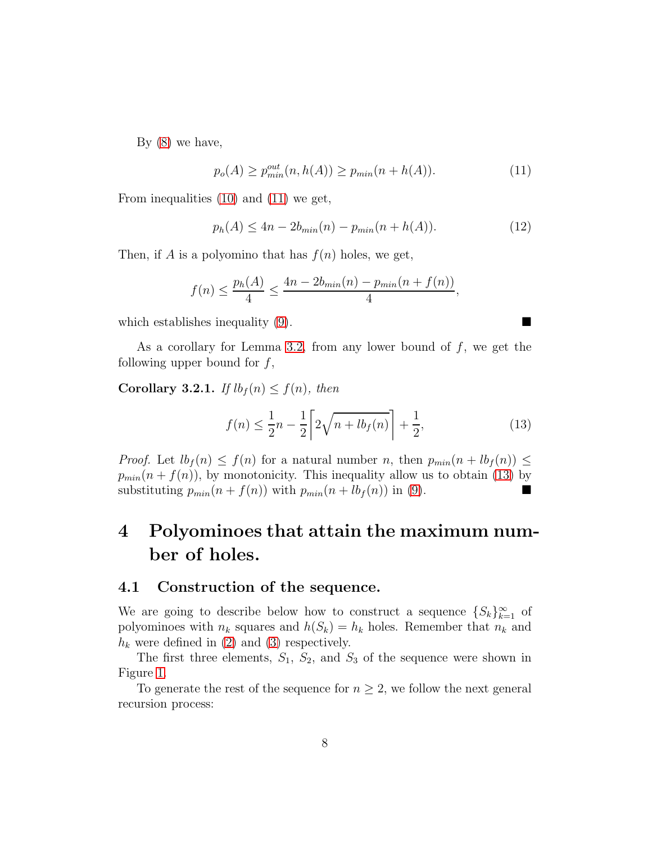By [\(8\)](#page-6-1) we have,

<span id="page-7-1"></span>
$$
p_o(A) \ge p_{min}^{out}(n, h(A)) \ge p_{min}(n + h(A)).
$$
\n(11)

From inequalities [\(10\)](#page-6-2) and [\(11\)](#page-7-1) we get,

$$
p_h(A) \le 4n - 2b_{min}(n) - p_{min}(n + h(A)).
$$
\n(12)

Then, if A is a polyomino that has  $f(n)$  holes, we get,

$$
f(n) \le \frac{p_h(A)}{4} \le \frac{4n - 2b_{min}(n) - p_{min}(n + f(n))}{4},
$$

which establishes inequality [\(9\)](#page-6-3).

As a corollary for Lemma [3.2,](#page-6-4) from any lower bound of  $f$ , we get the following upper bound for  $f$ ,

<span id="page-7-3"></span>Corollary 3.2.1. If  $lb_f(n) \leq f(n)$ , then

<span id="page-7-2"></span>
$$
f(n) \le \frac{1}{2}n - \frac{1}{2} \left[ 2\sqrt{n + lb_f(n)} \right] + \frac{1}{2},\tag{13}
$$

*Proof.* Let  $lb_f(n) \leq f(n)$  for a natural number n, then  $p_{min}(n + lb_f(n)) \leq$  $p_{min}(n + f(n))$ , by monotonicity. This inequality allow us to obtain [\(13\)](#page-7-2) by substituting  $p_{min}(n + f(n))$  with  $p_{min}(n + lb_f(n))$  in [\(9\)](#page-6-3).

# <span id="page-7-0"></span>4 Polyominoes that attain the maximum number of holes.

#### 4.1 Construction of the sequence.

We are going to describe below how to construct a sequence  $\{S_k\}_{k=1}^{\infty}$  of polyominoes with  $n_k$  squares and  $h(S_k) = h_k$  holes. Remember that  $n_k$  and  $h_k$  were defined in [\(2\)](#page-2-3) and [\(3\)](#page-2-4) respectively.

The first three elements,  $S_1$ ,  $S_2$ , and  $S_3$  of the sequence were shown in Figure [1.](#page-1-0)

To generate the rest of the sequence for  $n \geq 2$ , we follow the next general recursion process: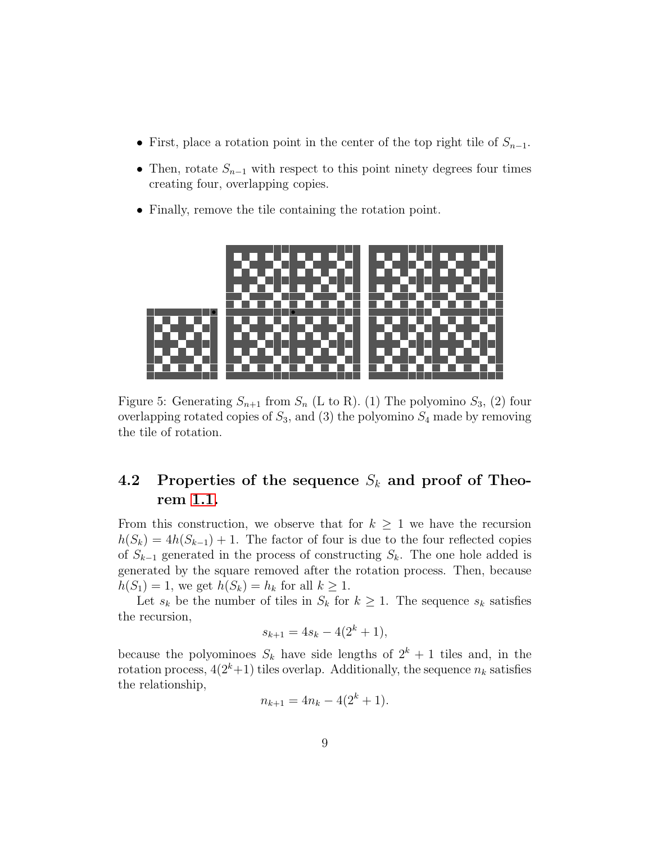- First, place a rotation point in the center of the top right tile of  $S_{n-1}$ .
- Then, rotate  $S_{n-1}$  with respect to this point ninety degrees four times creating four, overlapping copies.
- Finally, remove the tile containing the rotation point.



Figure 5: Generating  $S_{n+1}$  from  $S_n$  (L to R). (1) The polyomino  $S_3$ , (2) four overlapping rotated copies of  $S_3$ , and (3) the polyomino  $S_4$  made by removing the tile of rotation.

## 4.2 Properties of the sequence  $S_k$  and proof of Theorem [1.1.](#page-2-0)

From this construction, we observe that for  $k \geq 1$  we have the recursion  $h(S_k) = 4h(S_{k-1}) + 1$ . The factor of four is due to the four reflected copies of  $S_{k-1}$  generated in the process of constructing  $S_k$ . The one hole added is generated by the square removed after the rotation process. Then, because  $h(S_1) = 1$ , we get  $h(S_k) = h_k$  for all  $k \geq 1$ .

Let  $s_k$  be the number of tiles in  $S_k$  for  $k \geq 1$ . The sequence  $s_k$  satisfies the recursion,

$$
s_{k+1} = 4s_k - 4(2^k + 1),
$$

because the polyominoes  $S_k$  have side lengths of  $2^k + 1$  tiles and, in the rotation process,  $4(2^k+1)$  tiles overlap. Additionally, the sequence  $n_k$  satisfies the relationship,

$$
n_{k+1} = 4n_k - 4(2^k + 1).
$$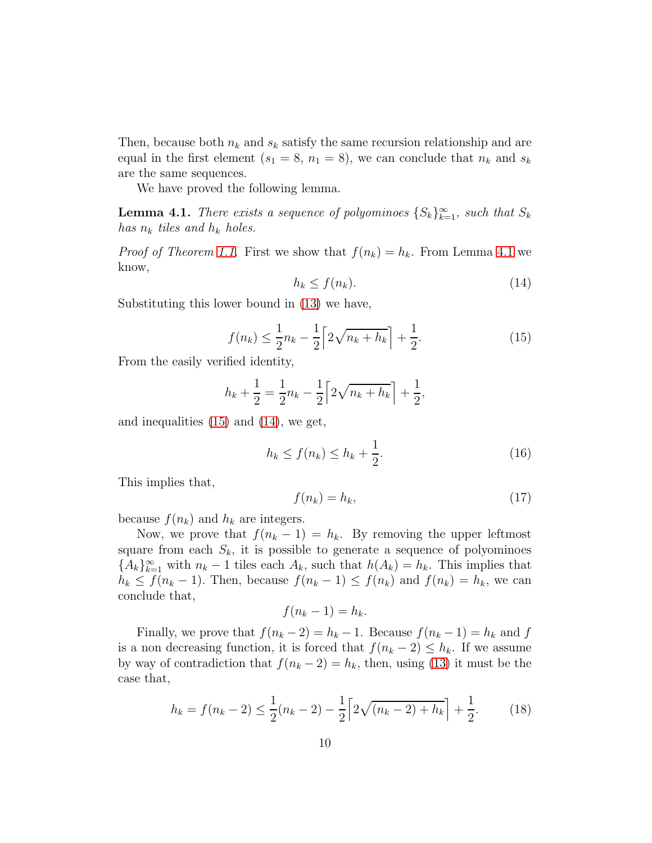Then, because both  $n_k$  and  $s_k$  satisfy the same recursion relationship and are equal in the first element  $(s_1 = 8, n_1 = 8)$ , we can conclude that  $n_k$  and  $s_k$ are the same sequences.

We have proved the following lemma.

<span id="page-9-0"></span>**Lemma 4.1.** There exists a sequence of polyominoes  ${S_k}_{k=1}^{\infty}$ , such that  $S_k$ has  $n_k$  tiles and  $h_k$  holes.

*Proof of Theorem [1.1.](#page-2-0)* First we show that  $f(n_k) = h_k$ . From Lemma [4.1](#page-9-0) we know,

<span id="page-9-2"></span>
$$
h_k \le f(n_k). \tag{14}
$$

Substituting this lower bound in [\(13\)](#page-7-2) we have,

<span id="page-9-1"></span>
$$
f(n_k) \le \frac{1}{2}n_k - \frac{1}{2}\left[2\sqrt{n_k + h_k}\right] + \frac{1}{2}.\tag{15}
$$

From the easily verified identity,

$$
h_k + \frac{1}{2} = \frac{1}{2}n_k - \frac{1}{2}\left[2\sqrt{n_k + h_k}\right] + \frac{1}{2},
$$

and inequalities [\(15\)](#page-9-1) and [\(14\)](#page-9-2), we get,

$$
h_k \le f(n_k) \le h_k + \frac{1}{2}.\tag{16}
$$

This implies that,

$$
f(n_k) = h_k,\tag{17}
$$

because  $f(n_k)$  and  $h_k$  are integers.

Now, we prove that  $f(n_k - 1) = h_k$ . By removing the upper leftmost square from each  $S_k$ , it is possible to generate a sequence of polyominoes  ${A_k}_{k=1}^{\infty}$  with  $n_k-1$  tiles each  $A_k$ , such that  $h(A_k) = h_k$ . This implies that  $h_k \le f(n_k - 1)$ . Then, because  $f(n_k - 1) \le f(n_k)$  and  $f(n_k) = h_k$ , we can conclude that,

$$
f(n_k-1) = h_k.
$$

Finally, we prove that  $f(n_k - 2) = h_k - 1$ . Because  $f(n_k - 1) = h_k$  and f is a non decreasing function, it is forced that  $f(n_k - 2) \leq h_k$ . If we assume by way of contradiction that  $f(n_k - 2) = h_k$ , then, using [\(13\)](#page-7-2) it must be the case that,

$$
h_k = f(n_k - 2) \le \frac{1}{2}(n_k - 2) - \frac{1}{2} \left[ 2\sqrt{(n_k - 2) + h_k} \right] + \frac{1}{2}.
$$
 (18)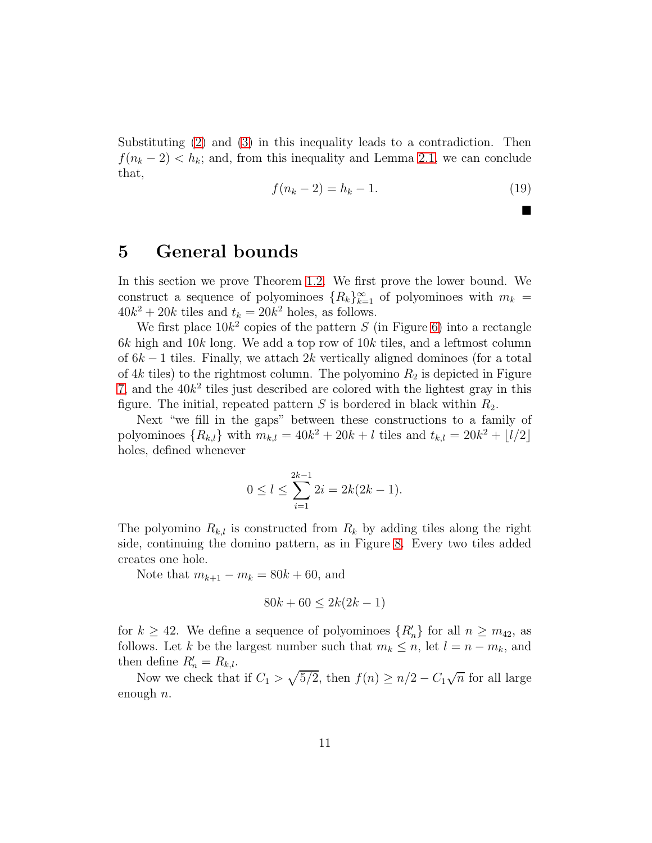Substituting [\(2\)](#page-2-3) and [\(3\)](#page-2-4) in this inequality leads to a contradiction. Then  $f(n_k - 2) < h_k$ ; and, from this inequality and Lemma [2.1,](#page-2-2) we can conclude that,

$$
f(n_k - 2) = h_k - 1.
$$
 (19)

 $\blacksquare$ 

## <span id="page-10-0"></span>5 General bounds

In this section we prove Theorem [1.2.](#page-2-1) We first prove the lower bound. We construct a sequence of polyominoes  ${R_k}_{k=1}^{\infty}$  of polyominoes with  $m_k =$  $40k^2 + 20k$  tiles and  $t_k = 20k^2$  holes, as follows.

We first place  $10k^2$  copies of the pattern S (in Figure [6\)](#page-12-0) into a rectangle  $6k$  high and  $10k$  long. We add a top row of  $10k$  tiles, and a leftmost column of  $6k-1$  tiles. Finally, we attach  $2k$  vertically aligned dominoes (for a total of  $4k$  tiles) to the rightmost column. The polyomino  $R_2$  is depicted in Figure [7,](#page-12-1) and the  $40k^2$  tiles just described are colored with the lightest gray in this figure. The initial, repeated pattern S is bordered in black within  $R_2$ .

Next "we fill in the gaps" between these constructions to a family of polyominoes  $\{R_{k,l}\}\$  with  $m_{k,l} = 40k^2 + 20k + l$  tiles and  $t_{k,l} = 20k^2 + \lfloor l/2 \rfloor$ holes, defined whenever

$$
0 \le l \le \sum_{i=1}^{2k-1} 2i = 2k(2k-1).
$$

The polyomino  $R_{k,l}$  is constructed from  $R_k$  by adding tiles along the right side, continuing the domino pattern, as in Figure [8.](#page-13-0) Every two tiles added creates one hole.

Note that  $m_{k+1} - m_k = 80k + 60$ , and

$$
80k + 60 \le 2k(2k - 1)
$$

for  $k \geq 42$ . We define a sequence of polyominoes  $\{R'_n\}$  for all  $n \geq m_{42}$ , as follows. Let k be the largest number such that  $m_k \leq n$ , let  $l = n - m_k$ , and then define  $R'_n = R_{k,l}$ .

Now we check that if  $C_1 > \sqrt{5/2}$ , then  $f(n) \geq n/2 - C_1 \sqrt{n}$  for all large enough  $n$ .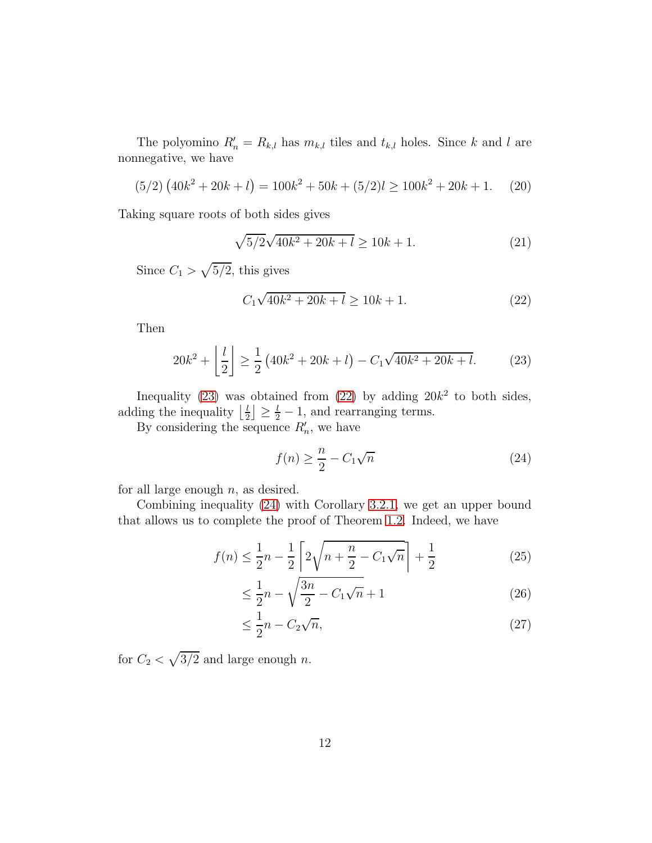The polyomino  $R'_n = R_{k,l}$  has  $m_{k,l}$  tiles and  $t_{k,l}$  holes. Since k and l are nonnegative, we have

$$
(5/2)\left(40k^2 + 20k + l\right) = 100k^2 + 50k + (5/2)l \ge 100k^2 + 20k + 1. \tag{20}
$$

Taking square roots of both sides gives

$$
\sqrt{5/2}\sqrt{40k^2 + 20k + l} \ge 10k + 1. \tag{21}
$$

Since  $C_1 > \sqrt{5/2}$ , this gives

<span id="page-11-1"></span>
$$
C_1\sqrt{40k^2 + 20k + l} \ge 10k + 1.
$$
 (22)

Then

<span id="page-11-0"></span>
$$
20k^2 + \left\lfloor \frac{l}{2} \right\rfloor \ge \frac{1}{2} \left( 40k^2 + 20k + l \right) - C_1 \sqrt{40k^2 + 20k + l}.\tag{23}
$$

Inequality [\(23\)](#page-11-0) was obtained from [\(22\)](#page-11-1) by adding  $20k^2$  to both sides, adding the inequality  $\frac{l}{2}$  $\lfloor \frac{l}{2} \rfloor \geq \frac{l}{2} - 1$ , and rearranging terms.

By considering the sequence  $R'_n$ , we have

<span id="page-11-2"></span>
$$
f(n) \ge \frac{n}{2} - C_1 \sqrt{n} \tag{24}
$$

for all large enough  $n$ , as desired.

Combining inequality [\(24\)](#page-11-2) with Corollary [3.2.1,](#page-7-3) we get an upper bound that allows us to complete the proof of Theorem [1.2.](#page-2-1) Indeed, we have

$$
f(n) \le \frac{1}{2}n - \frac{1}{2}\left[2\sqrt{n + \frac{n}{2} - C_1\sqrt{n}}\right] + \frac{1}{2}
$$
 (25)

$$
\leq \frac{1}{2}n - \sqrt{\frac{3n}{2} - C_1\sqrt{n}} + 1\tag{26}
$$

$$
\leq \frac{1}{2}n - C_2\sqrt{n},\tag{27}
$$

for  $C_2 < \sqrt{3/2}$  and large enough n.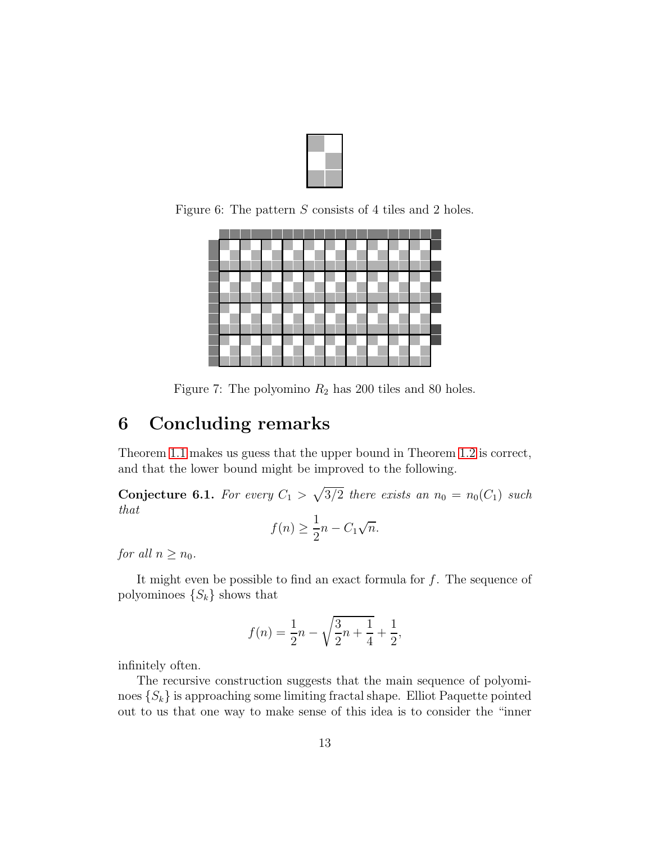

Figure 6: The pattern S consists of 4 tiles and 2 holes.

<span id="page-12-0"></span>

<span id="page-12-1"></span>Figure 7: The polyomino  $R_2$  has 200 tiles and 80 holes.

# 6 Concluding remarks

Theorem [1.1](#page-2-0) makes us guess that the upper bound in Theorem [1.2](#page-2-1) is correct, and that the lower bound might be improved to the following.

**Conjecture 6.1.** For every  $C_1 > \sqrt{3/2}$  there exists an  $n_0 = n_0(C_1)$  such that

$$
f(n) \ge \frac{1}{2}n - C_1\sqrt{n}.
$$

for all  $n \geq n_0$ .

It might even be possible to find an exact formula for  $f$ . The sequence of polyominoes  $\{S_k\}$  shows that

$$
f(n) = \frac{1}{2}n - \sqrt{\frac{3}{2}n + \frac{1}{4}} + \frac{1}{2},
$$

infinitely often.

The recursive construction suggests that the main sequence of polyominoes  $\{S_k\}$  is approaching some limiting fractal shape. Elliot Paquette pointed out to us that one way to make sense of this idea is to consider the "inner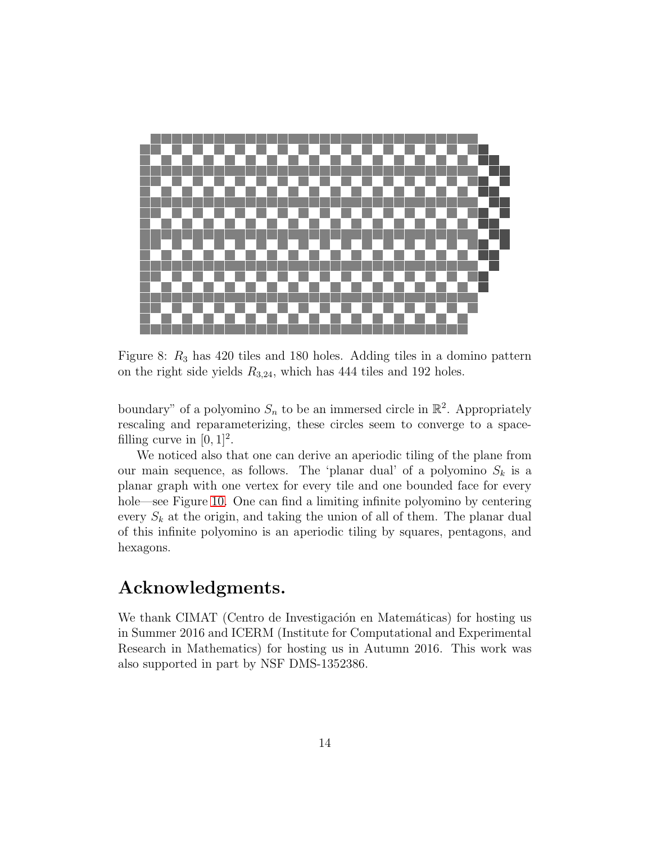

Figure 8:  $R_3$  has 420 tiles and 180 holes. Adding tiles in a domino pattern on the right side yields  $R_{3,24}$ , which has 444 tiles and 192 holes.

<span id="page-13-0"></span>boundary" of a polyomino  $S_n$  to be an immersed circle in  $\mathbb{R}^2$ . Appropriately rescaling and reparameterizing, these circles seem to converge to a spacefilling curve in  $[0, 1]^2$ .

We noticed also that one can derive an aperiodic tiling of the plane from our main sequence, as follows. The 'planar dual' of a polyomino  $S_k$  is a planar graph with one vertex for every tile and one bounded face for every hole—see Figure [10.](#page-15-0) One can find a limiting infinite polyomino by centering every  $S_k$  at the origin, and taking the union of all of them. The planar dual of this infinite polyomino is an aperiodic tiling by squares, pentagons, and hexagons.

## Acknowledgments.

We thank CIMAT (Centro de Investigación en Matemáticas) for hosting us in Summer 2016 and ICERM (Institute for Computational and Experimental Research in Mathematics) for hosting us in Autumn 2016. This work was also supported in part by NSF DMS-1352386.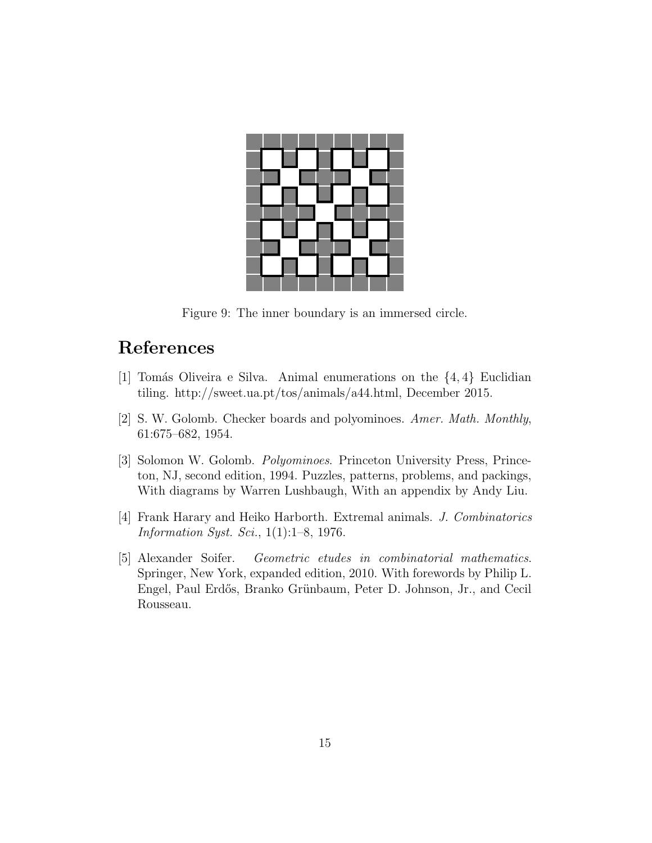

Figure 9: The inner boundary is an immersed circle.

# <span id="page-14-3"></span>References

- [1] Tomás Oliveira e Silva. Animal enumerations on the  $\{4, 4\}$  Euclidian tiling. http://sweet.ua.pt/tos/animals/a44.html, December 2015.
- <span id="page-14-1"></span><span id="page-14-0"></span>[2] S. W. Golomb. Checker boards and polyominoes. Amer. Math. Monthly, 61:675–682, 1954.
- [3] Solomon W. Golomb. Polyominoes. Princeton University Press, Princeton, NJ, second edition, 1994. Puzzles, patterns, problems, and packings, With diagrams by Warren Lushbaugh, With an appendix by Andy Liu.
- <span id="page-14-4"></span>[4] Frank Harary and Heiko Harborth. Extremal animals. J. Combinatorics Information Syst. Sci., 1(1):1–8, 1976.
- <span id="page-14-2"></span>[5] Alexander Soifer. Geometric etudes in combinatorial mathematics. Springer, New York, expanded edition, 2010. With forewords by Philip L. Engel, Paul Erdős, Branko Grünbaum, Peter D. Johnson, Jr., and Cecil Rousseau.